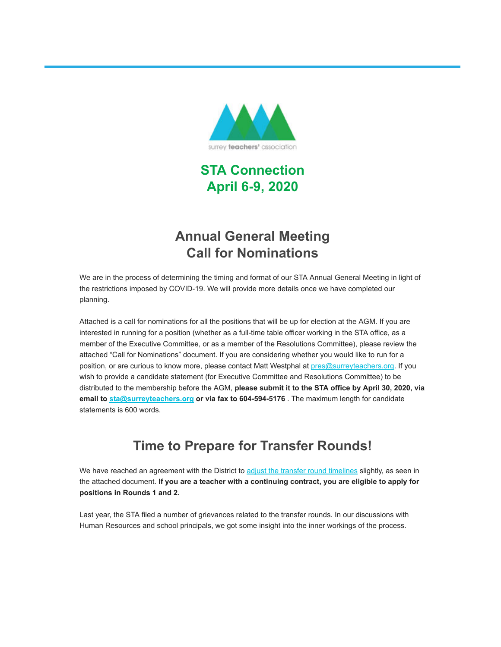

**STA Connection April 6-9, 2020**

# **Annual General Meeting Call for Nominations**

We are in the process of determining the timing and format of our STA Annual General Meeting in light of the restrictions imposed by COVID-19. We will provide more details once we have completed our planning.

Attached is a call for nominations for all the positions that will be up for election at the AGM. If you are interested in running for a position (whether as a full-time table officer working in the STA office, as a member of the Executive Committee, or as a member of the Resolutions Committee), please review the attached "Call for Nominations" document. If you are considering whether you would like to run for a position, or are curious to know more, please contact Matt Westphal at [pres@surreyteachers.org.](mailto:pres@surreyteachers.org) If you wish to provide a candidate statement (for Executive Committee and Resolutions Committee) to be distributed to the membership before the AGM, **please submit it to the STA office by April 30, 2020, via email to [sta@surreyteachers.org](mailto:sta@surreyteachers.org) or via fax to 604-594-5176** . The maximum length for candidate statements is 600 words.

# **Time to Prepare for Transfer Rounds!**

We have reached an agreement with the District to [adjust the transfer round timelines](https://surreyteachers.us20.list-manage.com/track/click?u=37ec644ae87e34b54b3912660&id=34be8c4b46&e=7261da6bdb) slightly, as seen in the attached document. **If you are a teacher with a continuing contract, you are eligible to apply for positions in Rounds 1 and 2.**

Last year, the STA filed a number of grievances related to the transfer rounds. In our discussions with Human Resources and school principals, we got some insight into the inner workings of the process.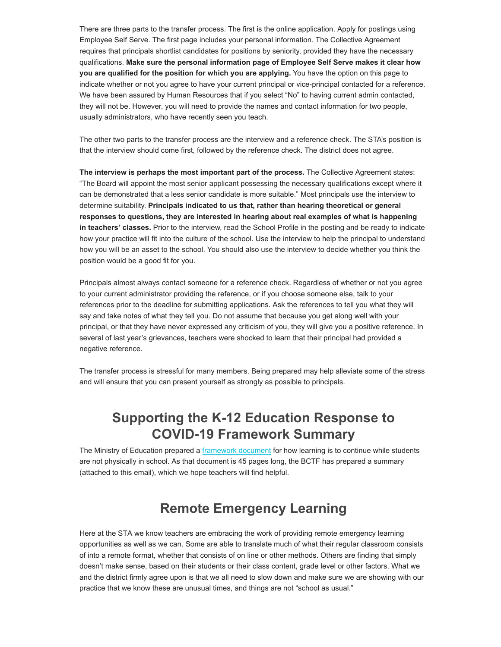There are three parts to the transfer process. The first is the online application. Apply for postings using Employee Self Serve. The first page includes your personal information. The Collective Agreement requires that principals shortlist candidates for positions by seniority, provided they have the necessary qualifications. **Make sure the personal information page of Employee Self Serve makes it clear how you are qualified for the position for which you are applying.** You have the option on this page to indicate whether or not you agree to have your current principal or vice-principal contacted for a reference. We have been assured by Human Resources that if you select "No" to having current admin contacted, they will not be. However, you will need to provide the names and contact information for two people, usually administrators, who have recently seen you teach.

The other two parts to the transfer process are the interview and a reference check. The STA's position is that the interview should come first, followed by the reference check. The district does not agree.

**The interview is perhaps the most important part of the process.** The Collective Agreement states: "The Board will appoint the most senior applicant possessing the necessary qualifications except where it can be demonstrated that a less senior candidate is more suitable." Most principals use the interview to determine suitability. **Principals indicated to us that, rather than hearing theoretical or general responses to questions, they are interested in hearing about real examples of what is happening in teachers' classes.** Prior to the interview, read the School Profile in the posting and be ready to indicate how your practice will fit into the culture of the school. Use the interview to help the principal to understand how you will be an asset to the school. You should also use the interview to decide whether you think the position would be a good fit for you.

Principals almost always contact someone for a reference check. Regardless of whether or not you agree to your current administrator providing the reference, or if you choose someone else, talk to your references prior to the deadline for submitting applications. Ask the references to tell you what they will say and take notes of what they tell you. Do not assume that because you get along well with your principal, or that they have never expressed any criticism of you, they will give you a positive reference. In several of last year's grievances, teachers were shocked to learn that their principal had provided a negative reference.

The transfer process is stressful for many members. Being prepared may help alleviate some of the stress and will ensure that you can present yourself as strongly as possible to principals.

# **Supporting the K-12 Education Response to COVID-19 Framework Summary**

The Ministry of Education prepared a [framework document](https://surreyteachers.us20.list-manage.com/track/click?u=37ec644ae87e34b54b3912660&id=8b15371927&e=7261da6bdb) for how learning is to continue while students are not physically in school. As that document is 45 pages long, the BCTF has prepared a summary (attached to this email), which we hope teachers will find helpful.

# **Remote Emergency Learning**

Here at the STA we know teachers are embracing the work of providing remote emergency learning opportunities as well as we can. Some are able to translate much of what their regular classroom consists of into a remote format, whether that consists of on line or other methods. Others are finding that simply doesn't make sense, based on their students or their class content, grade level or other factors. What we and the district firmly agree upon is that we all need to slow down and make sure we are showing with our practice that we know these are unusual times, and things are not "school as usual."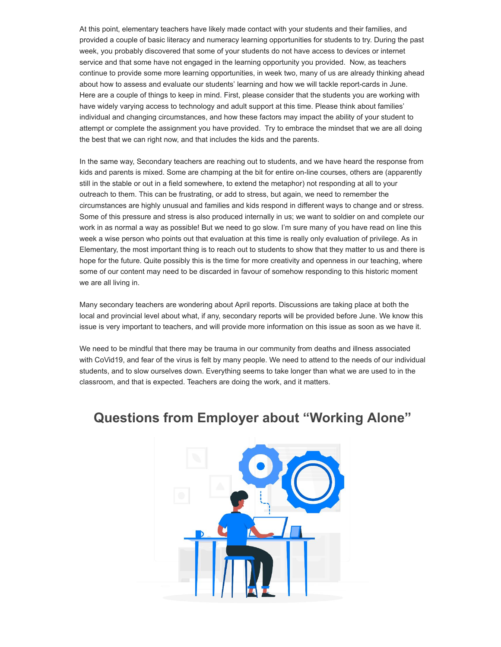At this point, elementary teachers have likely made contact with your students and their families, and provided a couple of basic literacy and numeracy learning opportunities for students to try. During the past week, you probably discovered that some of your students do not have access to devices or internet service and that some have not engaged in the learning opportunity you provided. Now, as teachers continue to provide some more learning opportunities, in week two, many of us are already thinking ahead about how to assess and evaluate our students' learning and how we will tackle report-cards in June. Here are a couple of things to keep in mind. First, please consider that the students you are working with have widely varying access to technology and adult support at this time. Please think about families' individual and changing circumstances, and how these factors may impact the ability of your student to attempt or complete the assignment you have provided. Try to embrace the mindset that we are all doing the best that we can right now, and that includes the kids and the parents.

In the same way, Secondary teachers are reaching out to students, and we have heard the response from kids and parents is mixed. Some are champing at the bit for entire on-line courses, others are (apparently still in the stable or out in a field somewhere, to extend the metaphor) not responding at all to your outreach to them. This can be frustrating, or add to stress, but again, we need to remember the circumstances are highly unusual and families and kids respond in different ways to change and or stress. Some of this pressure and stress is also produced internally in us; we want to soldier on and complete our work in as normal a way as possible! But we need to go slow. I'm sure many of you have read on line this week a wise person who points out that evaluation at this time is really only evaluation of privilege. As in Elementary, the most important thing is to reach out to students to show that they matter to us and there is hope for the future. Quite possibly this is the time for more creativity and openness in our teaching, where some of our content may need to be discarded in favour of somehow responding to this historic moment we are all living in.

Many secondary teachers are wondering about April reports. Discussions are taking place at both the local and provincial level about what, if any, secondary reports will be provided before June. We know this issue is very important to teachers, and will provide more information on this issue as soon as we have it.

We need to be mindful that there may be trauma in our community from deaths and illness associated with CoVid19, and fear of the virus is felt by many people. We need to attend to the needs of our individual students, and to slow ourselves down. Everything seems to take longer than what we are used to in the classroom, and that is expected. Teachers are doing the work, and it matters.

### **Questions from Employer about "Working Alone"**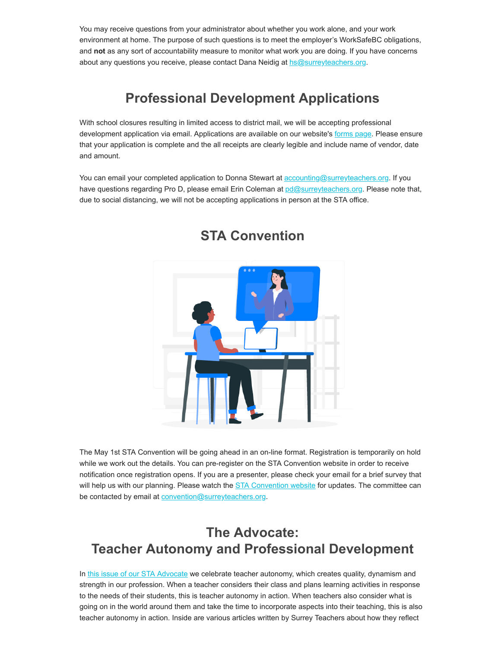You may receive questions from your administrator about whether you work alone, and your work environment at home. The purpose of such questions is to meet the employer's WorkSafeBC obligations, and **not** as any sort of accountability measure to monitor what work you are doing. If you have concerns about any questions you receive, please contact Dana Neidig at [hs@surreyteachers.org.](mailto:hs@surreyteachers.org)

# **Professional Development Applications**

With school closures resulting in limited access to district mail, we will be accepting professional development application via email. Applications are available on our website's [forms page](https://surreyteachers.us20.list-manage.com/track/click?u=37ec644ae87e34b54b3912660&id=da0fb273b6&e=7261da6bdb). Please ensure that your application is complete and the all receipts are clearly legible and include name of vendor, date and amount.

You can email your completed application to Donna Stewart at **[accounting@surreyteachers.org](mailto:accounting@surreyteachers.org).** If you have questions regarding Pro D, please email Erin Coleman at [pd@surreyteachers.org](mailto:pd@surreyteachers.org). Please note that, due to social distancing, we will not be accepting applications in person at the STA office.



## **STA Convention**

The May 1st STA Convention will be going ahead in an on-line format. Registration is temporarily on hold while we work out the details. You can pre-register on the STA Convention website in order to receive notification once registration opens. If you are a presenter, please check your email for a brief survey that will help us with our planning. Please watch the **STA Convention website** for updates. The committee can be contacted by email at [convention@surreyteachers.org](mailto:convention@surreyteachers.org).

# **The Advocate: Teacher Autonomy and Professional Development**

In [this issue of our STA Advocate](https://surreyteachers.us20.list-manage.com/track/click?u=37ec644ae87e34b54b3912660&id=7e78a49f47&e=7261da6bdb) we celebrate teacher autonomy, which creates quality, dynamism and strength in our profession. When a teacher considers their class and plans learning activities in response to the needs of their students, this is teacher autonomy in action. When teachers also consider what is going on in the world around them and take the time to incorporate aspects into their teaching, this is also teacher autonomy in action. Inside are various articles written by Surrey Teachers about how they reflect